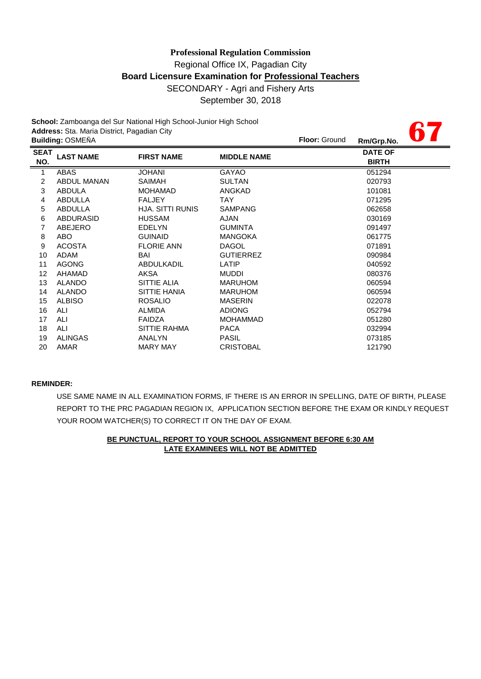**67**

**School:** Zamboanga del Sur National High School-Junior High School **Address:** Sta. Maria District, Pagadian City

|                    | <b>Building: OSMEÑA</b> |                         |                    | <b>Floor: Ground</b> | Rm/Grp.No.                     | U 11 |
|--------------------|-------------------------|-------------------------|--------------------|----------------------|--------------------------------|------|
| <b>SEAT</b><br>NO. | <b>LAST NAME</b>        | <b>FIRST NAME</b>       | <b>MIDDLE NAME</b> |                      | <b>DATE OF</b><br><b>BIRTH</b> |      |
| $\mathbf{1}$       | <b>ABAS</b>             | <b>JOHANI</b>           | <b>GAYAO</b>       |                      | 051294                         |      |
| $\overline{2}$     | ABDUL MANAN             | SAIMAH                  | <b>SULTAN</b>      |                      | 020793                         |      |
| 3                  | <b>ABDULA</b>           | <b>MOHAMAD</b>          | ANGKAD             |                      | 101081                         |      |
| 4                  | ABDULLA                 | <b>FALJEY</b>           | <b>TAY</b>         |                      | 071295                         |      |
| 5                  | ABDULLA                 | <b>HJA, SITTI RUNIS</b> | <b>SAMPANG</b>     |                      | 062658                         |      |
| 6                  | <b>ABDURASID</b>        | <b>HUSSAM</b>           | AJAN               |                      | 030169                         |      |
| 7                  | ABEJERO                 | <b>EDELYN</b>           | <b>GUMINTA</b>     |                      | 091497                         |      |
| 8                  | ABO                     | <b>GUINAID</b>          | <b>MANGOKA</b>     |                      | 061775                         |      |
| 9                  | <b>ACOSTA</b>           | <b>FLORIE ANN</b>       | <b>DAGOL</b>       |                      | 071891                         |      |
| 10                 | ADAM                    | BAI                     | <b>GUTIERREZ</b>   |                      | 090984                         |      |
| 11                 | <b>AGONG</b>            | <b>ABDULKADIL</b>       | LATIP              |                      | 040592                         |      |
| 12                 | AHAMAD                  | AKSA                    | <b>MUDDI</b>       |                      | 080376                         |      |
| 13                 | <b>ALANDO</b>           | SITTIE ALIA             | <b>MARUHOM</b>     |                      | 060594                         |      |
| 14                 | <b>ALANDO</b>           | SITTIE HANIA            | <b>MARUHOM</b>     |                      | 060594                         |      |
| 15                 | <b>ALBISO</b>           | <b>ROSALIO</b>          | <b>MASERIN</b>     |                      | 022078                         |      |
| 16                 | ALI                     | <b>ALMIDA</b>           | <b>ADIONG</b>      |                      | 052794                         |      |
| 17                 | ALI                     | <b>FAIDZA</b>           | <b>MOHAMMAD</b>    |                      | 051280                         |      |
| 18                 | <b>ALI</b>              | <b>SITTIE RAHMA</b>     | <b>PACA</b>        |                      | 032994                         |      |
| 19                 | <b>ALINGAS</b>          | ANALYN                  | <b>PASIL</b>       |                      | 073185                         |      |
| 20                 | AMAR                    | <b>MARY MAY</b>         | <b>CRISTOBAL</b>   |                      | 121790                         |      |
|                    |                         |                         |                    |                      |                                |      |

### **REMINDER:**

USE SAME NAME IN ALL EXAMINATION FORMS, IF THERE IS AN ERROR IN SPELLING, DATE OF BIRTH, PLEASE REPORT TO THE PRC PAGADIAN REGION IX, APPLICATION SECTION BEFORE THE EXAM OR KINDLY REQUEST YOUR ROOM WATCHER(S) TO CORRECT IT ON THE DAY OF EXAM.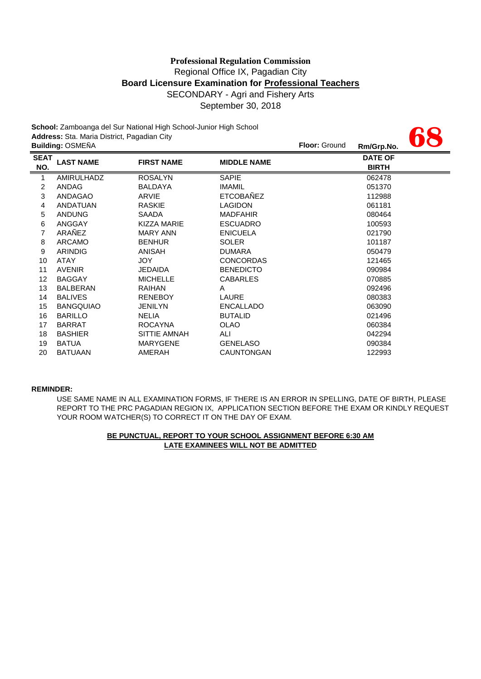|             |                                             | School: Zamboanga del Sur National High School-Junior High School |                    |                      |                |  |
|-------------|---------------------------------------------|-------------------------------------------------------------------|--------------------|----------------------|----------------|--|
|             | Address: Sta. Maria District, Pagadian City |                                                                   |                    |                      |                |  |
|             | <b>Building: OSMEÑA</b>                     |                                                                   |                    | <b>Floor: Ground</b> | Rm/Grp.No.     |  |
| <b>SEAT</b> | <b>LAST NAME</b>                            | <b>FIRST NAME</b>                                                 | <b>MIDDLE NAME</b> |                      | <b>DATE OF</b> |  |
| NO.         |                                             |                                                                   |                    |                      | <b>BIRTH</b>   |  |
| 1           | AMIRULHADZ                                  | <b>ROSALYN</b>                                                    | SAPIE              |                      | 062478         |  |
| 2           | ANDAG                                       | <b>BALDAYA</b>                                                    | <b>IMAMIL</b>      |                      | 051370         |  |
| 3           | ANDAGAO                                     | ARVIE                                                             | <b>ETCOBAÑEZ</b>   |                      | 112988         |  |
| 4           | ANDATUAN                                    | <b>RASKIE</b>                                                     | <b>LAGIDON</b>     |                      | 061181         |  |
| 5           | <b>ANDUNG</b>                               | <b>SAADA</b>                                                      | <b>MADFAHIR</b>    |                      | 080464         |  |
| 6           | ANGGAY                                      | <b>KIZZA MARIE</b>                                                | <b>ESCUADRO</b>    |                      | 100593         |  |
| 7           | ARAÑEZ                                      | <b>MARY ANN</b>                                                   | <b>ENICUELA</b>    |                      | 021790         |  |
| 8           | ARCAMO                                      | <b>BENHUR</b>                                                     | <b>SOLER</b>       |                      | 101187         |  |
| 9           | <b>ARINDIG</b>                              | ANISAH                                                            | <b>DUMARA</b>      |                      | 050479         |  |
| 10          | <b>ATAY</b>                                 | <b>JOY</b>                                                        | <b>CONCORDAS</b>   |                      | 121465         |  |
| 11          | <b>AVENIR</b>                               | <b>JEDAIDA</b>                                                    | <b>BENEDICTO</b>   |                      | 090984         |  |
| 12          | <b>BAGGAY</b>                               | <b>MICHELLE</b>                                                   | <b>CABARLES</b>    |                      | 070885         |  |
| 13          | <b>BALBERAN</b>                             | <b>RAIHAN</b>                                                     | A                  |                      | 092496         |  |
| 14          | <b>BALIVES</b>                              | <b>RENEBOY</b>                                                    | LAURE              |                      | 080383         |  |
| 15          | <b>BANGQUIAO</b>                            | <b>JENILYN</b>                                                    | <b>ENCALLADO</b>   |                      | 063090         |  |
| 16          | <b>BARILLO</b>                              | <b>NELIA</b>                                                      | <b>BUTALID</b>     |                      | 021496         |  |
| 17          | <b>BARRAT</b>                               | <b>ROCAYNA</b>                                                    | OLAO               |                      | 060384         |  |
| 18          | <b>BASHIER</b>                              | SITTIE AMNAH                                                      | ALI                |                      | 042294         |  |
| 19          | <b>BATUA</b>                                | <b>MARYGENE</b>                                                   | <b>GENELASO</b>    |                      | 090384         |  |
| 20          | <b>BATUAAN</b>                              | AMERAH                                                            | <b>CAUNTONGAN</b>  |                      | 122993         |  |

#### **REMINDER:**

REPORT TO THE PRC PAGADIAN REGION IX, APPLICATION SECTION BEFORE THE EXAM OR KINDLY REQUEST YOUR ROOM WATCHER(S) TO CORRECT IT ON THE DAY OF EXAM. USE SAME NAME IN ALL EXAMINATION FORMS, IF THERE IS AN ERROR IN SPELLING, DATE OF BIRTH, PLEASE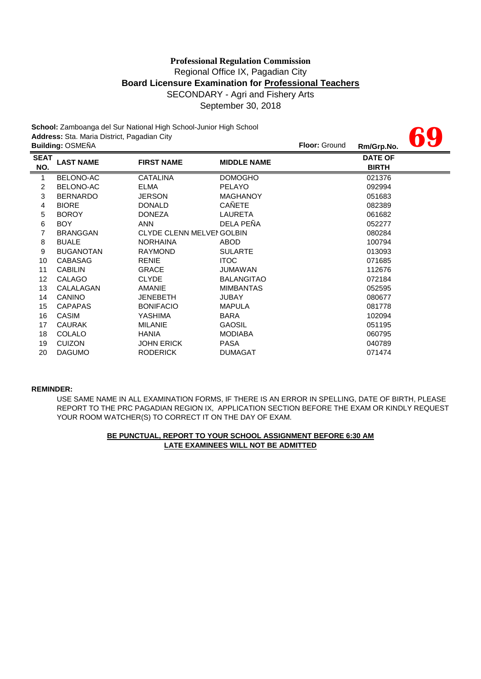**69**

**School:** Zamboanga del Sur National High School-Junior High School **Address:** Sta. Maria District, Pagadian City

|                    | <b>Building: OSMEÑA</b> |                                 |                    | <b>Floor: Ground</b> | Rm/Grp.No.                     | UU. |
|--------------------|-------------------------|---------------------------------|--------------------|----------------------|--------------------------------|-----|
| <b>SEAT</b><br>NO. | <b>LAST NAME</b>        | <b>FIRST NAME</b>               | <b>MIDDLE NAME</b> |                      | <b>DATE OF</b><br><b>BIRTH</b> |     |
| 1                  | BELONO-AC               | <b>CATALINA</b>                 | <b>DOMOGHO</b>     |                      | 021376                         |     |
| 2                  | BELONO-AC               | <b>ELMA</b>                     | <b>PELAYO</b>      |                      | 092994                         |     |
| 3                  | <b>BERNARDO</b>         | <b>JERSON</b>                   | <b>MAGHANOY</b>    |                      | 051683                         |     |
| 4                  | <b>BIORE</b>            | <b>DONALD</b>                   | CAÑETE             |                      | 082389                         |     |
| 5                  | <b>BOROY</b>            | <b>DONEZA</b>                   | LAURETA            |                      | 061682                         |     |
| 6                  | BOY                     | <b>ANN</b>                      | DELA PEÑA          |                      | 052277                         |     |
| 7                  | <b>BRANGGAN</b>         | <b>CLYDE CLENN MELVENGOLBIN</b> |                    |                      | 080284                         |     |
| 8                  | <b>BUALE</b>            | <b>NORHAINA</b>                 | <b>ABOD</b>        |                      | 100794                         |     |
| 9                  | <b>BUGANOTAN</b>        | <b>RAYMOND</b>                  | <b>SULARTE</b>     |                      | 013093                         |     |
| 10                 | <b>CABASAG</b>          | <b>RENIE</b>                    | <b>ITOC</b>        |                      | 071685                         |     |
| 11                 | <b>CABILIN</b>          | <b>GRACE</b>                    | JUMAWAN            |                      | 112676                         |     |
| 12                 | CALAGO                  | <b>CLYDE</b>                    | <b>BALANGITAO</b>  |                      | 072184                         |     |
| 13                 | CALALAGAN               | <b>AMANIE</b>                   | <b>MIMBANTAS</b>   |                      | 052595                         |     |
| 14                 | <b>CANINO</b>           | <b>JENEBETH</b>                 | <b>JUBAY</b>       |                      | 080677                         |     |
| 15                 | <b>CAPAPAS</b>          | <b>BONIFACIO</b>                | <b>MAPULA</b>      |                      | 081778                         |     |
| 16                 | CASIM                   | YASHIMA                         | <b>BARA</b>        |                      | 102094                         |     |
| 17                 | <b>CAURAK</b>           | <b>MILANIE</b>                  | <b>GAOSIL</b>      |                      | 051195                         |     |
| 18                 | COLALO                  | <b>HANIA</b>                    | <b>MODIABA</b>     |                      | 060795                         |     |
| 19                 | <b>CUIZON</b>           | <b>JOHN ERICK</b>               | <b>PASA</b>        |                      | 040789                         |     |
| 20                 | <b>DAGUMO</b>           | <b>RODERICK</b>                 | <b>DUMAGAT</b>     |                      | 071474                         |     |

#### **REMINDER:**

YOUR ROOM WATCHER(S) TO CORRECT IT ON THE DAY OF EXAM. USE SAME NAME IN ALL EXAMINATION FORMS, IF THERE IS AN ERROR IN SPELLING, DATE OF BIRTH, PLEASE REPORT TO THE PRC PAGADIAN REGION IX, APPLICATION SECTION BEFORE THE EXAM OR KINDLY REQUEST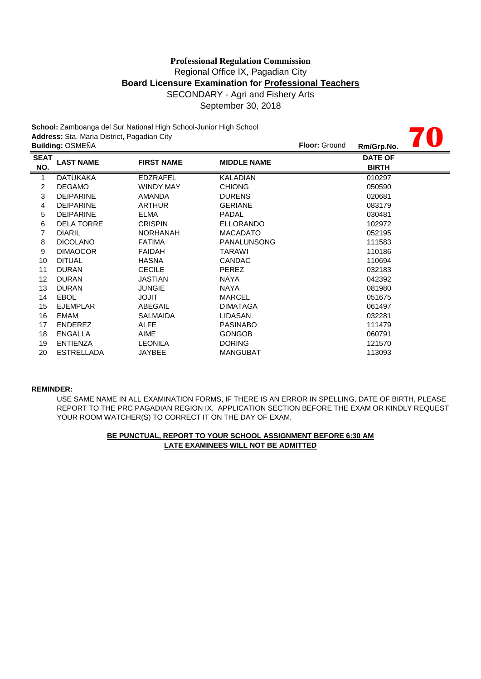**70**

**School:** Zamboanga del Sur National High School-Junior High School **Address:** Sta. Maria District, Pagadian City

|                    | <b>Building: OSMEÑA</b> |                   |                    | <b>Floor: Ground</b> | Rm/Grp.No.                     | <b>Alberta Contractor</b> |
|--------------------|-------------------------|-------------------|--------------------|----------------------|--------------------------------|---------------------------|
| <b>SEAT</b><br>NO. | <b>LAST NAME</b>        | <b>FIRST NAME</b> | <b>MIDDLE NAME</b> |                      | <b>DATE OF</b><br><b>BIRTH</b> |                           |
| 1                  | <b>DATUKAKA</b>         | <b>EDZRAFEL</b>   | <b>KALADIAN</b>    |                      | 010297                         |                           |
| 2                  | <b>DEGAMO</b>           | <b>WINDY MAY</b>  | <b>CHIONG</b>      |                      | 050590                         |                           |
| 3                  | <b>DEIPARINE</b>        | AMANDA            | <b>DURENS</b>      |                      | 020681                         |                           |
| 4                  | <b>DEIPARINE</b>        | <b>ARTHUR</b>     | <b>GERIANE</b>     |                      | 083179                         |                           |
| 5                  | <b>DEIPARINE</b>        | <b>ELMA</b>       | <b>PADAL</b>       |                      | 030481                         |                           |
| 6                  | <b>DELA TORRE</b>       | <b>CRISPIN</b>    | <b>ELLORANDO</b>   |                      | 102972                         |                           |
| 7                  | <b>DIARIL</b>           | <b>NORHANAH</b>   | <b>MACADATO</b>    |                      | 052195                         |                           |
| 8                  | <b>DICOLANO</b>         | <b>FATIMA</b>     | <b>PANALUNSONG</b> |                      | 111583                         |                           |
| 9                  | <b>DIMAOCOR</b>         | <b>FAIDAH</b>     | TARAWI             |                      | 110186                         |                           |
| 10                 | <b>DITUAL</b>           | <b>HASNA</b>      | <b>CANDAC</b>      |                      | 110694                         |                           |
| 11                 | <b>DURAN</b>            | <b>CECILE</b>     | <b>PEREZ</b>       |                      | 032183                         |                           |
| 12                 | <b>DURAN</b>            | <b>JASTIAN</b>    | NAYA               |                      | 042392                         |                           |
| 13                 | <b>DURAN</b>            | <b>JUNGIE</b>     | <b>NAYA</b>        |                      | 081980                         |                           |
| 14                 | <b>EBOL</b>             | <b>TILOL</b>      | <b>MARCEL</b>      |                      | 051675                         |                           |
| 15                 | <b>EJEMPLAR</b>         | ABEGAIL           | <b>DIMATAGA</b>    |                      | 061497                         |                           |
| 16                 | EMAM                    | <b>SALMAIDA</b>   | <b>LIDASAN</b>     |                      | 032281                         |                           |
| 17                 | <b>ENDEREZ</b>          | <b>ALFE</b>       | <b>PASINABO</b>    |                      | 111479                         |                           |
| 18                 | <b>ENGALLA</b>          | AIME              | <b>GONGOB</b>      |                      | 060791                         |                           |
| 19                 | <b>ENTIENZA</b>         | <b>LEONILA</b>    | <b>DORING</b>      |                      | 121570                         |                           |
| 20                 | <b>ESTRELLADA</b>       | JAYBEE            | <b>MANGUBAT</b>    |                      | 113093                         |                           |

#### **REMINDER:**

USE SAME NAME IN ALL EXAMINATION FORMS, IF THERE IS AN ERROR IN SPELLING, DATE OF BIRTH, PLEASE REPORT TO THE PRC PAGADIAN REGION IX, APPLICATION SECTION BEFORE THE EXAM OR KINDLY REQUEST YOUR ROOM WATCHER(S) TO CORRECT IT ON THE DAY OF EXAM.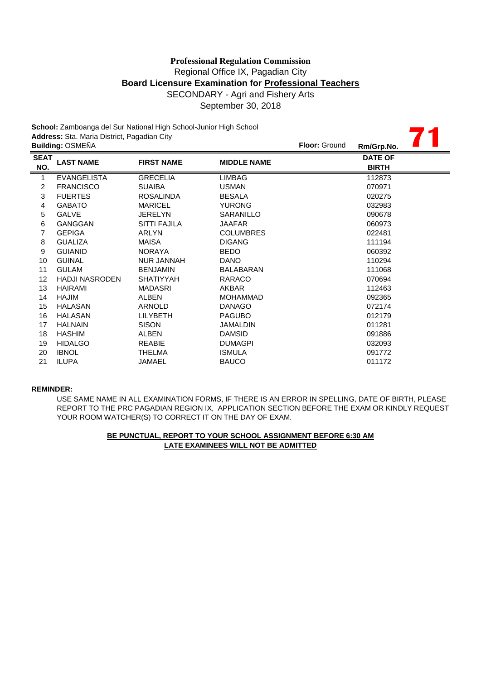**71**

**School:** Zamboanga del Sur National High School-Junior High School **Address:** Sta. Maria District, Pagadian City

|                    | <b>Building: OSMEÑA</b> |                     |                    | <b>Floor: Ground</b> | Rm/Grp.No.                     |  |
|--------------------|-------------------------|---------------------|--------------------|----------------------|--------------------------------|--|
| <b>SEAT</b><br>NO. | <b>LAST NAME</b>        | <b>FIRST NAME</b>   | <b>MIDDLE NAME</b> |                      | <b>DATE OF</b><br><b>BIRTH</b> |  |
| 1                  | <b>EVANGELISTA</b>      | <b>GRECELIA</b>     | <b>LIMBAG</b>      |                      | 112873                         |  |
| 2                  | <b>FRANCISCO</b>        | <b>SUAIBA</b>       | <b>USMAN</b>       |                      | 070971                         |  |
| 3                  | <b>FUERTES</b>          | <b>ROSALINDA</b>    | <b>BESALA</b>      |                      | 020275                         |  |
| 4                  | <b>GABATO</b>           | <b>MARICEL</b>      | <b>YURONG</b>      |                      | 032983                         |  |
| 5                  | <b>GALVE</b>            | <b>JERELYN</b>      | SARANILLO          |                      | 090678                         |  |
| 6                  | <b>GANGGAN</b>          | <b>SITTI FAJILA</b> | <b>JAAFAR</b>      |                      | 060973                         |  |
| 7                  | <b>GEPIGA</b>           | <b>ARLYN</b>        | <b>COLUMBRES</b>   |                      | 022481                         |  |
| 8                  | <b>GUALIZA</b>          | <b>MAISA</b>        | <b>DIGANG</b>      |                      | 111194                         |  |
| 9                  | <b>GUIANID</b>          | <b>NORAYA</b>       | <b>BEDO</b>        |                      | 060392                         |  |
| 10                 | <b>GUINAL</b>           | <b>NUR JANNAH</b>   | DANO               |                      | 110294                         |  |
| 11                 | <b>GULAM</b>            | <b>BENJAMIN</b>     | <b>BALABARAN</b>   |                      | 111068                         |  |
| 12                 | <b>HADJI NASRODEN</b>   | <b>SHATIYYAH</b>    | RARACO             |                      | 070694                         |  |
| 13                 | <b>HAIRAMI</b>          | <b>MADASRI</b>      | AKBAR              |                      | 112463                         |  |
| 14                 | HAJIM                   | <b>ALBEN</b>        | <b>MOHAMMAD</b>    |                      | 092365                         |  |
| 15                 | <b>HALASAN</b>          | <b>ARNOLD</b>       | <b>DANAGO</b>      |                      | 072174                         |  |
| 16                 | <b>HALASAN</b>          | <b>LILYBETH</b>     | <b>PAGUBO</b>      |                      | 012179                         |  |
| 17                 | <b>HALNAIN</b>          | <b>SISON</b>        | <b>JAMALDIN</b>    |                      | 011281                         |  |
| 18                 | <b>HASHIM</b>           | <b>ALBEN</b>        | <b>DAMSID</b>      |                      | 091886                         |  |
| 19                 | <b>HIDALGO</b>          | <b>REABIE</b>       | <b>DUMAGPI</b>     |                      | 032093                         |  |
| 20                 | <b>IBNOL</b>            | <b>THELMA</b>       | <b>ISMULA</b>      |                      | 091772                         |  |
| 21                 | <b>ILUPA</b>            | JAMAEL              | <b>BAUCO</b>       |                      | 011172                         |  |
|                    |                         |                     |                    |                      |                                |  |

#### **REMINDER:**

USE SAME NAME IN ALL EXAMINATION FORMS, IF THERE IS AN ERROR IN SPELLING, DATE OF BIRTH, PLEASE REPORT TO THE PRC PAGADIAN REGION IX, APPLICATION SECTION BEFORE THE EXAM OR KINDLY REQUEST YOUR ROOM WATCHER(S) TO CORRECT IT ON THE DAY OF EXAM.

### **LATE EXAMINEES WILL NOT BE ADMITTED BE PUNCTUAL, REPORT TO YOUR SCHOOL ASSIGNMENT BEFORE 6:30 AM**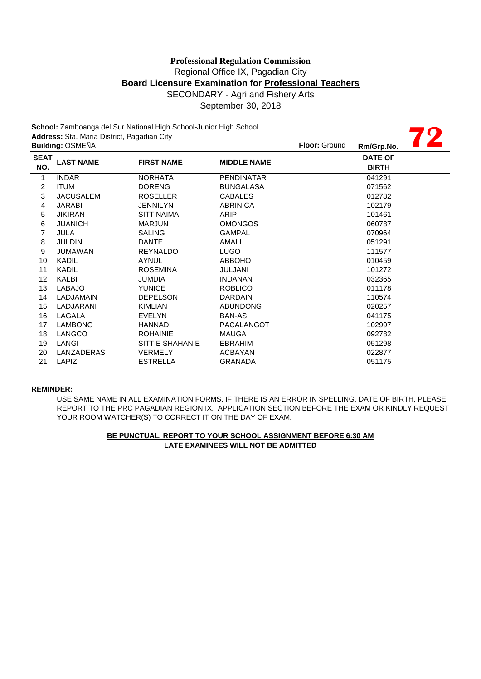**School:** Zamboanga del Sur National High School-Junior High School **Address:** Sta. Maria District, Pagadian City

| Address: Sta. Maria District, Pagadian City |                         |                   |                    |               |                                |  |
|---------------------------------------------|-------------------------|-------------------|--------------------|---------------|--------------------------------|--|
|                                             | <b>Building: OSMEÑA</b> |                   |                    | Floor: Ground | Rm/Grp.No.                     |  |
| <b>SEAT</b><br>NO.                          | <b>LAST NAME</b>        | <b>FIRST NAME</b> | <b>MIDDLE NAME</b> |               | <b>DATE OF</b><br><b>BIRTH</b> |  |
| 1                                           | <b>INDAR</b>            | <b>NORHATA</b>    | <b>PENDINATAR</b>  |               | 041291                         |  |
| $\overline{2}$                              | <b>ITUM</b>             | <b>DORENG</b>     | <b>BUNGALASA</b>   |               | 071562                         |  |
| 3                                           | <b>JACUSALEM</b>        | <b>ROSELLER</b>   | <b>CABALES</b>     |               | 012782                         |  |
| 4                                           | <b>JARABI</b>           | <b>JENNILYN</b>   | <b>ABRINICA</b>    |               | 102179                         |  |
| 5                                           | <b>JIKIRAN</b>          | <b>SITTINAIMA</b> | ARIP               |               | 101461                         |  |
| 6                                           | <b>JUANICH</b>          | <b>MARJUN</b>     | <b>OMONGOS</b>     |               | 060787                         |  |
| 7                                           | JULA                    | <b>SALING</b>     | <b>GAMPAL</b>      |               | 070964                         |  |
| 8                                           | <b>JULDIN</b>           | <b>DANTE</b>      | AMALI              |               | 051291                         |  |
| 9                                           | <b>JUMAWAN</b>          | <b>REYNALDO</b>   | <b>LUGO</b>        |               | 111577                         |  |
| 10                                          | <b>KADIL</b>            | <b>AYNUL</b>      | <b>ABBOHO</b>      |               | 010459                         |  |
| 11                                          | <b>KADIL</b>            | <b>ROSEMINA</b>   | <b>JULJANI</b>     |               | 101272                         |  |
| 12                                          | KALBI                   | <b>JUMDIA</b>     | <b>INDANAN</b>     |               | 032365                         |  |
| 13                                          | <b>LABAJO</b>           | <b>YUNICE</b>     | <b>ROBLICO</b>     |               | 011178                         |  |
| 14                                          | <b>LADJAMAIN</b>        | <b>DEPELSON</b>   | <b>DARDAIN</b>     |               | 110574                         |  |
| 15                                          | LADJARANI               | <b>KIMLIAN</b>    | <b>ABUNDONG</b>    |               | 020257                         |  |
| 16                                          | LAGALA                  | <b>EVELYN</b>     | BAN-AS             |               | 041175                         |  |
| 17                                          | <b>LAMBONG</b>          | <b>HANNADI</b>    | PACALANGOT         |               | 102997                         |  |
| 18                                          | LANGCO                  | <b>ROHAINIE</b>   | <b>MAUGA</b>       |               | 092782                         |  |
| 19                                          | LANGI                   | SITTIE SHAHANIE   | <b>EBRAHIM</b>     |               | 051298                         |  |
| 20                                          | LANZADERAS              | <b>VERMELY</b>    | <b>ACBAYAN</b>     |               | 022877                         |  |
| 21                                          | LAPIZ                   | <b>ESTRELLA</b>   | <b>GRANADA</b>     |               | 051175                         |  |

#### **REMINDER:**

USE SAME NAME IN ALL EXAMINATION FORMS, IF THERE IS AN ERROR IN SPELLING, DATE OF BIRTH, PLEASE REPORT TO THE PRC PAGADIAN REGION IX, APPLICATION SECTION BEFORE THE EXAM OR KINDLY REQUEST YOUR ROOM WATCHER(S) TO CORRECT IT ON THE DAY OF EXAM.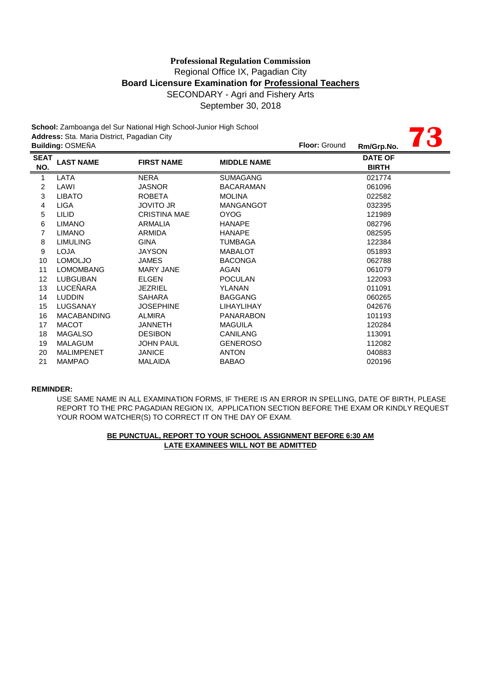**73**

**School:** Zamboanga del Sur National High School-Junior High School **Address:** Sta. Maria District, Pagadian City

|                    | <b>Building: OSMEÑA</b> |                     |                    | <b>Floor: Ground</b> | Rm/Grp.No.                     | $\overline{\phantom{a}}$ |
|--------------------|-------------------------|---------------------|--------------------|----------------------|--------------------------------|--------------------------|
| <b>SEAT</b><br>NO. | <b>LAST NAME</b>        | <b>FIRST NAME</b>   | <b>MIDDLE NAME</b> |                      | <b>DATE OF</b><br><b>BIRTH</b> |                          |
| 1                  | LATA                    | <b>NERA</b>         | <b>SUMAGANG</b>    |                      | 021774                         |                          |
| 2                  | LAWI                    | <b>JASNOR</b>       | <b>BACARAMAN</b>   |                      | 061096                         |                          |
| 3                  | <b>LIBATO</b>           | <b>ROBETA</b>       | <b>MOLINA</b>      |                      | 022582                         |                          |
| 4                  | <b>LIGA</b>             | <b>JOVITO JR</b>    | <b>MANGANGOT</b>   |                      | 032395                         |                          |
| 5                  | <b>LILID</b>            | <b>CRISTINA MAE</b> | <b>OYOG</b>        |                      | 121989                         |                          |
| 6                  | <b>LIMANO</b>           | ARMALIA             | <b>HANAPE</b>      |                      | 082796                         |                          |
| 7                  | <b>LIMANO</b>           | ARMIDA              | <b>HANAPE</b>      |                      | 082595                         |                          |
| 8                  | <b>LIMULING</b>         | <b>GINA</b>         | TUMBAGA            |                      | 122384                         |                          |
| 9                  | <b>LOJA</b>             | <b>JAYSON</b>       | <b>MABALOT</b>     |                      | 051893                         |                          |
| 10                 | <b>LOMOLJO</b>          | <b>JAMES</b>        | <b>BACONGA</b>     |                      | 062788                         |                          |
| 11                 | <b>LOMOMBANG</b>        | <b>MARY JANE</b>    | AGAN               |                      | 061079                         |                          |
| 12                 | LUBGUBAN                | ELGEN               | <b>POCULAN</b>     |                      | 122093                         |                          |
| 13                 | LUCEÑARA                | <b>JEZRIEL</b>      | <b>YLANAN</b>      |                      | 011091                         |                          |
| 14                 | <b>LUDDIN</b>           | <b>SAHARA</b>       | <b>BAGGANG</b>     |                      | 060265                         |                          |
| 15                 | LUGSANAY                | <b>JOSEPHINE</b>    | <b>LIHAYLIHAY</b>  |                      | 042676                         |                          |
| 16                 | <b>MACABANDING</b>      | <b>ALMIRA</b>       | <b>PANARABON</b>   |                      | 101193                         |                          |
| 17                 | <b>MACOT</b>            | <b>JANNETH</b>      | <b>MAGUILA</b>     |                      | 120284                         |                          |
| 18                 | <b>MAGALSO</b>          | <b>DESIBON</b>      | <b>CANILANG</b>    |                      | 113091                         |                          |
| 19                 | <b>MALAGUM</b>          | <b>JOHN PAUL</b>    | <b>GENEROSO</b>    |                      | 112082                         |                          |
| 20                 | <b>MALIMPENET</b>       | <b>JANICE</b>       | <b>ANTON</b>       |                      | 040883                         |                          |
| 21                 | <b>MAMPAO</b>           | <b>MALAIDA</b>      | <b>BABAO</b>       |                      | 020196                         |                          |
|                    |                         |                     |                    |                      |                                |                          |

#### **REMINDER:**

USE SAME NAME IN ALL EXAMINATION FORMS, IF THERE IS AN ERROR IN SPELLING, DATE OF BIRTH, PLEASE REPORT TO THE PRC PAGADIAN REGION IX, APPLICATION SECTION BEFORE THE EXAM OR KINDLY REQUEST YOUR ROOM WATCHER(S) TO CORRECT IT ON THE DAY OF EXAM.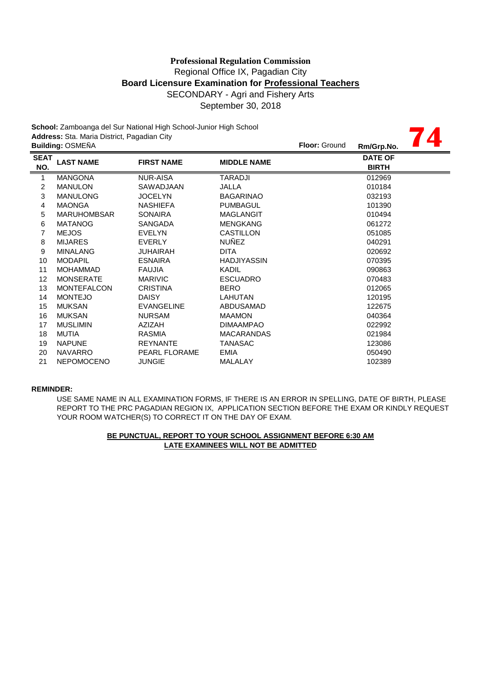## Regional Office IX, Pagadian City **Board Licensure Examination for Professional Teachers** SECONDARY - Agri and Fishery Arts September 30, 2018 **Professional Regulation Commission**

**74**

**School:** Zamboanga del Sur National High School-Junior High School **Address:** Sta. Maria District, Pagadian City

|                         | <b>Building: OSMEÑA</b> |                      |                    | <b>Floor: Ground</b><br>Rm/Grp.No. |  |
|-------------------------|-------------------------|----------------------|--------------------|------------------------------------|--|
| <b>SEAT</b><br>NO.      | <b>LAST NAME</b>        | <b>FIRST NAME</b>    | <b>MIDDLE NAME</b> | <b>DATE OF</b><br><b>BIRTH</b>     |  |
| $\mathbf{1}$            | <b>MANGONA</b>          | <b>NUR-AISA</b>      | TARADJI            | 012969                             |  |
| $\overline{\mathbf{c}}$ | <b>MANULON</b>          | SAWADJAAN            | JALLA              | 010184                             |  |
| 3                       | <b>MANULONG</b>         | <b>JOCELYN</b>       | <b>BAGARINAO</b>   | 032193                             |  |
| 4                       | <b>MAONGA</b>           | <b>NASHIEFA</b>      | <b>PUMBAGUL</b>    | 101390                             |  |
| 5                       | <b>MARUHOMBSAR</b>      | <b>SONAIRA</b>       | MAGLANGIT          | 010494                             |  |
| 6                       | <b>MATANOG</b>          | <b>SANGADA</b>       | <b>MENGKANG</b>    | 061272                             |  |
| 7                       | <b>MEJOS</b>            | <b>EVELYN</b>        | CASTILLON          | 051085                             |  |
| 8                       | <b>MIJARES</b>          | <b>EVERLY</b>        | <b>NUÑEZ</b>       | 040291                             |  |
| 9                       | <b>MINALANG</b>         | <b>JUHAIRAH</b>      | <b>DITA</b>        | 020692                             |  |
| 10                      | <b>MODAPIL</b>          | <b>ESNAIRA</b>       | <b>HADJIYASSIN</b> | 070395                             |  |
| 11                      | <b>MOHAMMAD</b>         | <b>FAUJIA</b>        | KADIL              | 090863                             |  |
| 12                      | <b>MONSERATE</b>        | <b>MARIVIC</b>       | <b>ESCUADRO</b>    | 070483                             |  |
| 13                      | <b>MONTEFALCON</b>      | <b>CRISTINA</b>      | <b>BERO</b>        | 012065                             |  |
| 14                      | <b>MONTEJO</b>          | <b>DAISY</b>         | <b>LAHUTAN</b>     | 120195                             |  |
| 15                      | <b>MUKSAN</b>           | <b>EVANGELINE</b>    | ABDUSAMAD          | 122675                             |  |
| 16                      | <b>MUKSAN</b>           | <b>NURSAM</b>        | <b>MAAMON</b>      | 040364                             |  |
| 17                      | <b>MUSLIMIN</b>         | AZIZAH               | <b>DIMAAMPAO</b>   | 022992                             |  |
| 18                      | <b>MUTIA</b>            | <b>RASMIA</b>        | <b>MACARANDAS</b>  | 021984                             |  |
| 19                      | <b>NAPUNE</b>           | <b>REYNANTE</b>      | TANASAC            | 123086                             |  |
| 20                      | <b>NAVARRO</b>          | <b>PEARL FLORAME</b> | <b>EMIA</b>        | 050490                             |  |
| 21                      | <b>NEPOMOCENO</b>       | <b>JUNGIE</b>        | MALALAY            | 102389                             |  |

#### **REMINDER:**

USE SAME NAME IN ALL EXAMINATION FORMS, IF THERE IS AN ERROR IN SPELLING, DATE OF BIRTH, PLEASE REPORT TO THE PRC PAGADIAN REGION IX, APPLICATION SECTION BEFORE THE EXAM OR KINDLY REQUEST YOUR ROOM WATCHER(S) TO CORRECT IT ON THE DAY OF EXAM.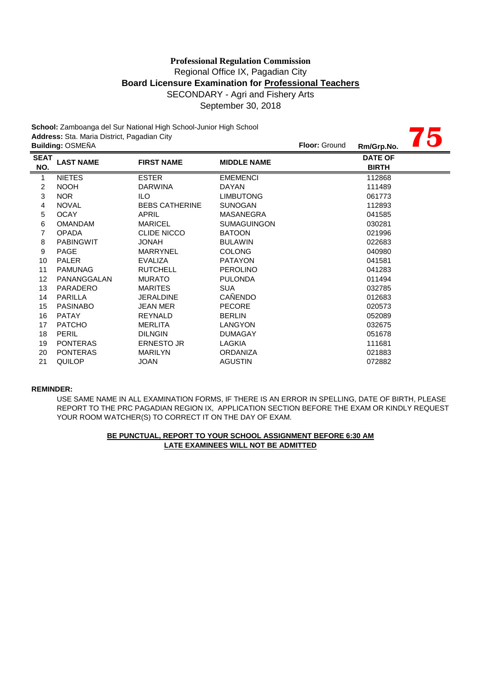## **Board Licensure Examination for Professional Teachers** SECONDARY - Agri and Fishery Arts September 30, 2018 **Professional Regulation Commission** Regional Office IX, Pagadian City

**75**

**School:** Zamboanga del Sur National High School-Junior High School **Address:** Sta. Maria District, Pagadian City

|                    | <b>Building: OSMEÑA</b> |                       |                    | <b>Floor: Ground</b> | Rm/Grp.No.                     | $\overline{\phantom{a}}$ |
|--------------------|-------------------------|-----------------------|--------------------|----------------------|--------------------------------|--------------------------|
| <b>SEAT</b><br>NO. | <b>LAST NAME</b>        | <b>FIRST NAME</b>     | <b>MIDDLE NAME</b> |                      | <b>DATE OF</b><br><b>BIRTH</b> |                          |
| $\mathbf{1}$       | <b>NIETES</b>           | <b>ESTER</b>          | <b>EMEMENCI</b>    |                      | 112868                         |                          |
| $\overline{c}$     | <b>NOOH</b>             | <b>DARWINA</b>        | DAYAN              |                      | 111489                         |                          |
| 3                  | <b>NOR</b>              | ILO.                  | <b>LIMBUTONG</b>   |                      | 061773                         |                          |
| 4                  | <b>NOVAL</b>            | <b>BEBS CATHERINE</b> | <b>SUNOGAN</b>     |                      | 112893                         |                          |
| 5                  | <b>OCAY</b>             | <b>APRIL</b>          | MASANEGRA          |                      | 041585                         |                          |
| 6                  | <b>OMANDAM</b>          | <b>MARICEL</b>        | <b>SUMAGUINGON</b> |                      | 030281                         |                          |
| 7                  | <b>OPADA</b>            | <b>CLIDE NICCO</b>    | <b>BATOON</b>      |                      | 021996                         |                          |
| 8                  | <b>PABINGWIT</b>        | <b>HANOL</b>          | <b>BULAWIN</b>     |                      | 022683                         |                          |
| 9                  | <b>PAGE</b>             | <b>MARRYNEL</b>       | <b>COLONG</b>      |                      | 040980                         |                          |
| 10                 | <b>PALER</b>            | <b>EVALIZA</b>        | <b>PATAYON</b>     |                      | 041581                         |                          |
| 11                 | <b>PAMUNAG</b>          | <b>RUTCHELL</b>       | <b>PEROLINO</b>    |                      | 041283                         |                          |
| 12                 | PANANGGALAN             | <b>MURATO</b>         | <b>PULONDA</b>     |                      | 011494                         |                          |
| 13                 | <b>PARADERO</b>         | <b>MARITES</b>        | <b>SUA</b>         |                      | 032785                         |                          |
| 14                 | <b>PARILLA</b>          | <b>JERALDINE</b>      | <b>CAÑENDO</b>     |                      | 012683                         |                          |
| 15                 | <b>PASINABO</b>         | <b>JEAN MER</b>       | <b>PECORE</b>      |                      | 020573                         |                          |
| 16                 | <b>PATAY</b>            | <b>REYNALD</b>        | <b>BERLIN</b>      |                      | 052089                         |                          |
| 17                 | <b>PATCHO</b>           | <b>MERLITA</b>        | LANGYON            |                      | 032675                         |                          |
| 18                 | <b>PERIL</b>            | <b>DILNGIN</b>        | <b>DUMAGAY</b>     |                      | 051678                         |                          |
| 19                 | <b>PONTERAS</b>         | <b>ERNESTO JR</b>     | LAGKIA             |                      | 111681                         |                          |
| 20                 | <b>PONTERAS</b>         | <b>MARILYN</b>        | <b>ORDANIZA</b>    |                      | 021883                         |                          |
| 21                 | QUILOP                  | <b>JOAN</b>           | <b>AGUSTIN</b>     |                      | 072882                         |                          |

#### **REMINDER:**

USE SAME NAME IN ALL EXAMINATION FORMS, IF THERE IS AN ERROR IN SPELLING, DATE OF BIRTH, PLEASE REPORT TO THE PRC PAGADIAN REGION IX, APPLICATION SECTION BEFORE THE EXAM OR KINDLY REQUEST YOUR ROOM WATCHER(S) TO CORRECT IT ON THE DAY OF EXAM.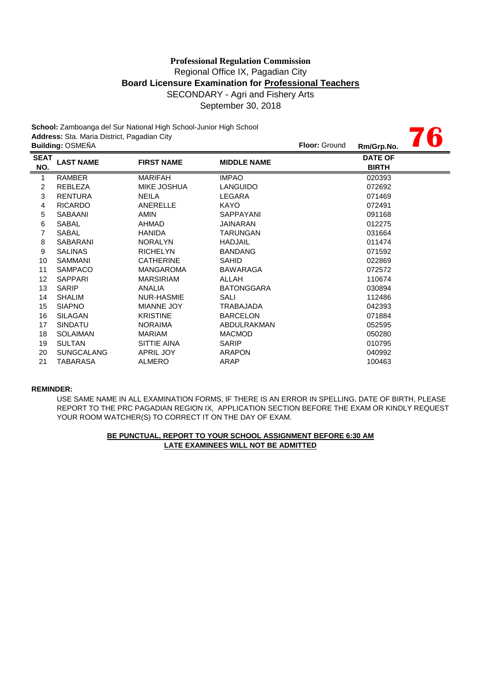## SECONDARY - Agri and Fishery Arts September 30, 2018 **Professional Regulation Commission** Regional Office IX, Pagadian City **Board Licensure Examination for Professional Teachers**

**76**

**School:** Zamboanga del Sur National High School-Junior High School **Address:** Sta. Maria District, Pagadian City

|                    | <b>Building: OSMEÑA</b> |                    |                    | <b>Floor: Ground</b> | Rm/Grp.No.                     | W |
|--------------------|-------------------------|--------------------|--------------------|----------------------|--------------------------------|---|
| <b>SEAT</b><br>NO. | <b>LAST NAME</b>        | <b>FIRST NAME</b>  | <b>MIDDLE NAME</b> |                      | <b>DATE OF</b><br><b>BIRTH</b> |   |
| 1                  | <b>RAMBER</b>           | <b>MARIFAH</b>     | <b>IMPAO</b>       |                      | 020393                         |   |
| $\overline{2}$     | <b>REBLEZA</b>          | <b>MIKE JOSHUA</b> | <b>LANGUIDO</b>    |                      | 072692                         |   |
| 3                  | <b>RENTURA</b>          | NEILA              | LEGARA             |                      | 071469                         |   |
| 4                  | <b>RICARDO</b>          | ANERELLE           | KAYO               |                      | 072491                         |   |
| 5                  | <b>SABAANI</b>          | <b>AMIN</b>        | SAPPAYANI          |                      | 091168                         |   |
| 6                  | <b>SABAL</b>            | <b>AHMAD</b>       | JAINARAN           |                      | 012275                         |   |
| 7                  | <b>SABAL</b>            | <b>HANIDA</b>      | TARUNGAN           |                      | 031664                         |   |
| 8                  | <b>SABARANI</b>         | <b>NORALYN</b>     | <b>HADJAIL</b>     |                      | 011474                         |   |
| 9                  | <b>SALINAS</b>          | <b>RICHELYN</b>    | <b>BANDANG</b>     |                      | 071592                         |   |
| 10                 | <b>SAMMANI</b>          | <b>CATHERINE</b>   | <b>SAHID</b>       |                      | 022869                         |   |
| 11                 | <b>SAMPACO</b>          | <b>MANGAROMA</b>   | BAWARAGA           |                      | 072572                         |   |
| $12 \overline{ }$  | SAPPARI                 | <b>MARSIRIAM</b>   | ALLAH              |                      | 110674                         |   |
| 13                 | <b>SARIP</b>            | <b>ANALIA</b>      | <b>BATONGGARA</b>  |                      | 030894                         |   |
| 14                 | <b>SHALIM</b>           | <b>NUR-HASMIE</b>  | SALI               |                      | 112486                         |   |
| 15                 | <b>SIAPNO</b>           | <b>MIANNE JOY</b>  | TRABAJADA          |                      | 042393                         |   |
| 16                 | <b>SILAGAN</b>          | <b>KRISTINE</b>    | <b>BARCELON</b>    |                      | 071884                         |   |
| 17                 | <b>SINDATU</b>          | <b>NORAIMA</b>     | ABDULRAKMAN        |                      | 052595                         |   |
| 18                 | <b>SOLAIMAN</b>         | <b>MARIAM</b>      | <b>MACMOD</b>      |                      | 050280                         |   |
| 19                 | <b>SULTAN</b>           | SITTIE AINA        | SARIP              |                      | 010795                         |   |
| 20                 | <b>SUNGCALANG</b>       | <b>APRIL JOY</b>   | <b>ARAPON</b>      |                      | 040992                         |   |
| 21                 | TABARASA                | ALMERO             | ARAP               |                      | 100463                         |   |
|                    |                         |                    |                    |                      |                                |   |

#### **REMINDER:**

USE SAME NAME IN ALL EXAMINATION FORMS, IF THERE IS AN ERROR IN SPELLING, DATE OF BIRTH, PLEASE REPORT TO THE PRC PAGADIAN REGION IX, APPLICATION SECTION BEFORE THE EXAM OR KINDLY REQUEST YOUR ROOM WATCHER(S) TO CORRECT IT ON THE DAY OF EXAM.